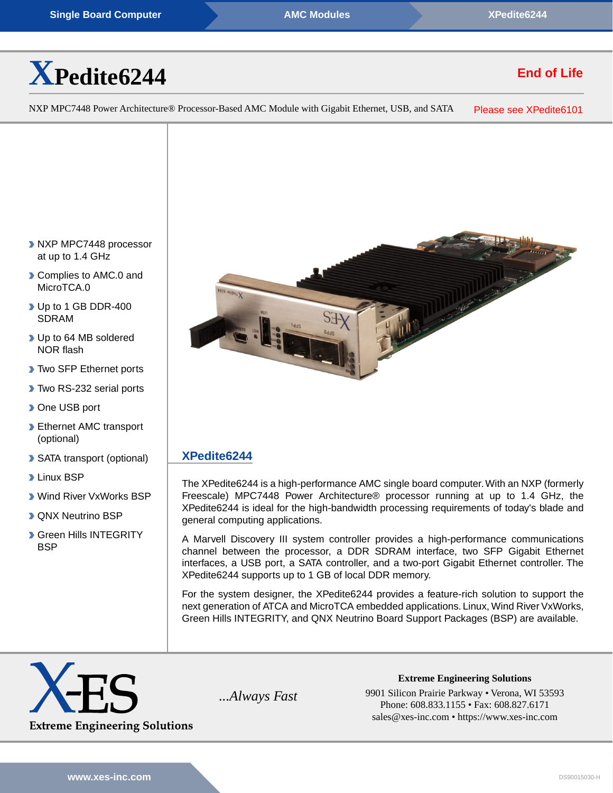# **[X](https://www.xes-inc.com/products/sbcs/xpedite6244/?utm_source=dynamic&utm_medium=referral&utm_term=XPedite6244&utm_content=Title&utm_campaign=Datasheet)[Pedite6244](https://www.xes-inc.com/products/sbcs/xpedite6244/?utm_source=dynamic&utm_medium=referral&utm_term=XPedite6244&utm_content=Title&utm_campaign=Datasheet)**

# **End of Life**

NXP MPC7448 Power Architecture® Processor-Based AMC Module with Gigabit Ethernet, USB, and SATA Please see [XPedite6101](https://www.xes-inc.com/sbcs/xpedite6101/?utm_source=dynamic&utm_medium=referral&utm_term=XPedite6244&utm_content=NRND&utm_campaign=Datasheet)

- **NXP MPC7448 processor** at up to 1.4 GHz
- Complies to AMC.0 and MicroTCA.0
- ▶ Up to 1 GB DDR-400 SDRAM
- ▶ Up to 64 MB soldered NOR flash
- **Two SFP Ethernet ports**
- ▶ Two RS-232 serial ports
- **D** One USB port
- **Ethernet AMC transport** (optional)
- SATA transport (optional)
- **Linux BSP**
- Wind River VxWorks BSP
- **D** QNX Neutrino BSP
- **Green Hills INTEGRITY BSP**



## **[XPedite6244](https://www.xes-inc.com/products/sbcs/xpedite6244/?utm_source=dynamic&utm_medium=referral&utm_term=XPedite6244&utm_content=Description%20Title&utm_campaign=Datasheet)**

The XPedite6244 is a high-performance AMC single board computer.With an NXP (formerly Freescale) MPC7448 Power Architecture® processor running at up to 1.4 GHz, the XPedite6244 is ideal for the high-bandwidth processing requirements of today's blade and general computing applications.

A Marvell Discovery III system controller provides a high-performance communications channel between the processor, a DDR SDRAM interface, two SFP Gigabit Ethernet interfaces, a USB port, a SATA controller, and a two-port Gigabit Ethernet controller. The XPedite6244 supports up to 1 GB of local DDR memory.

For the system designer, the XPedite6244 provides a feature-rich solution to support the next generation of ATCA and MicroTCA embedded applications. Linux, Wind River VxWorks, Green Hills INTEGRITY, and QNX Neutrino Board Support Packages (BSP) are available.



**Extreme Engineering Solutions** *...Always Fast* 9901 Silicon Prairie Parkway • Verona, WI 53593 Phone: 608.833.1155 • Fax: 608.827.6171 sales@xes-inc.com • <https://www.xes-inc.com>